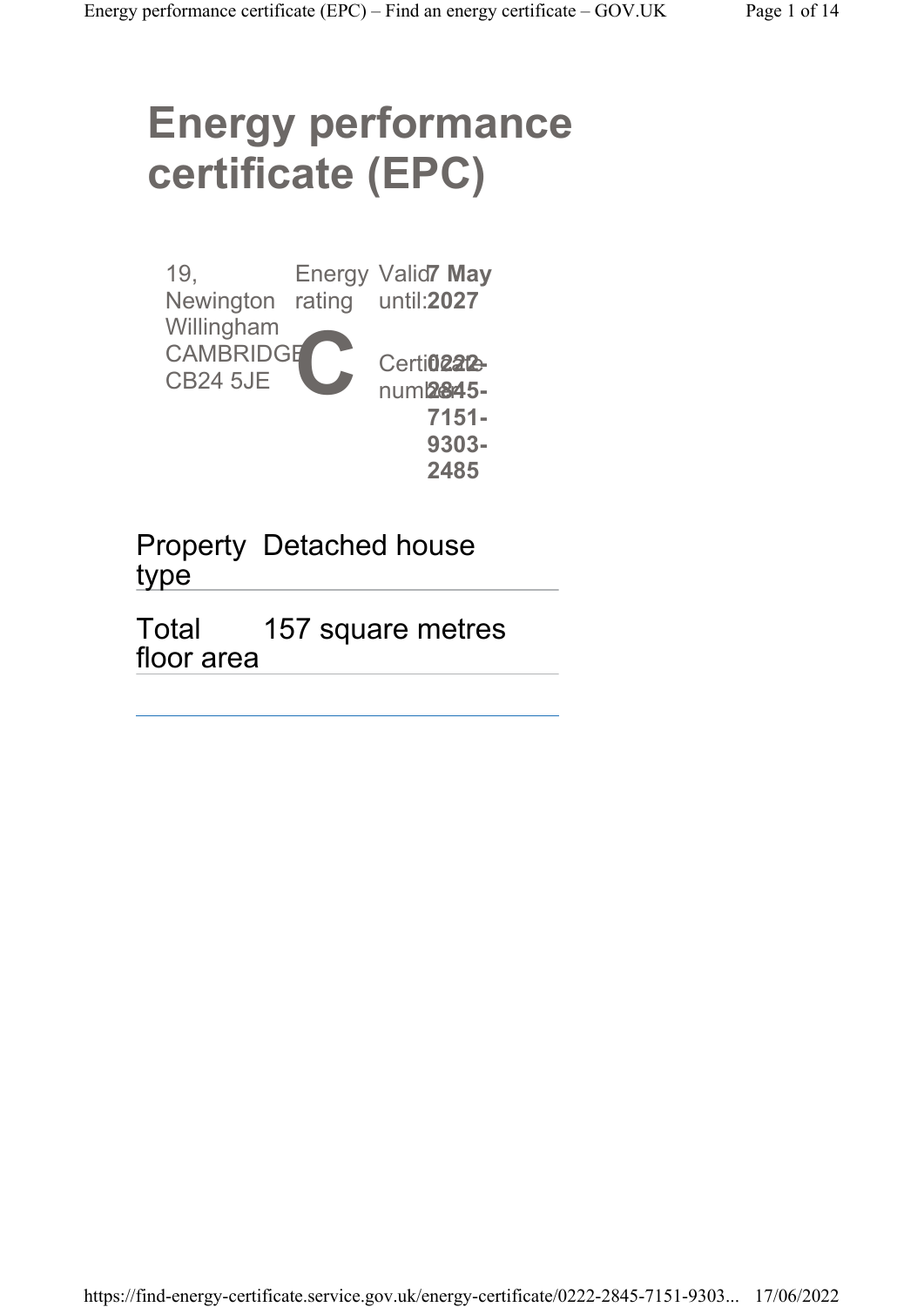# Energy performance certificate (EPC)

19, Newington rating Willingham **CAMBRIDGE** CB24 5JE Energy Valid7 May  $\mathbf{C}$ until: 2027 Certi**02212** num**2845-**7151- 9303- 2485

Property Detached house type

Total floor area 157 square metres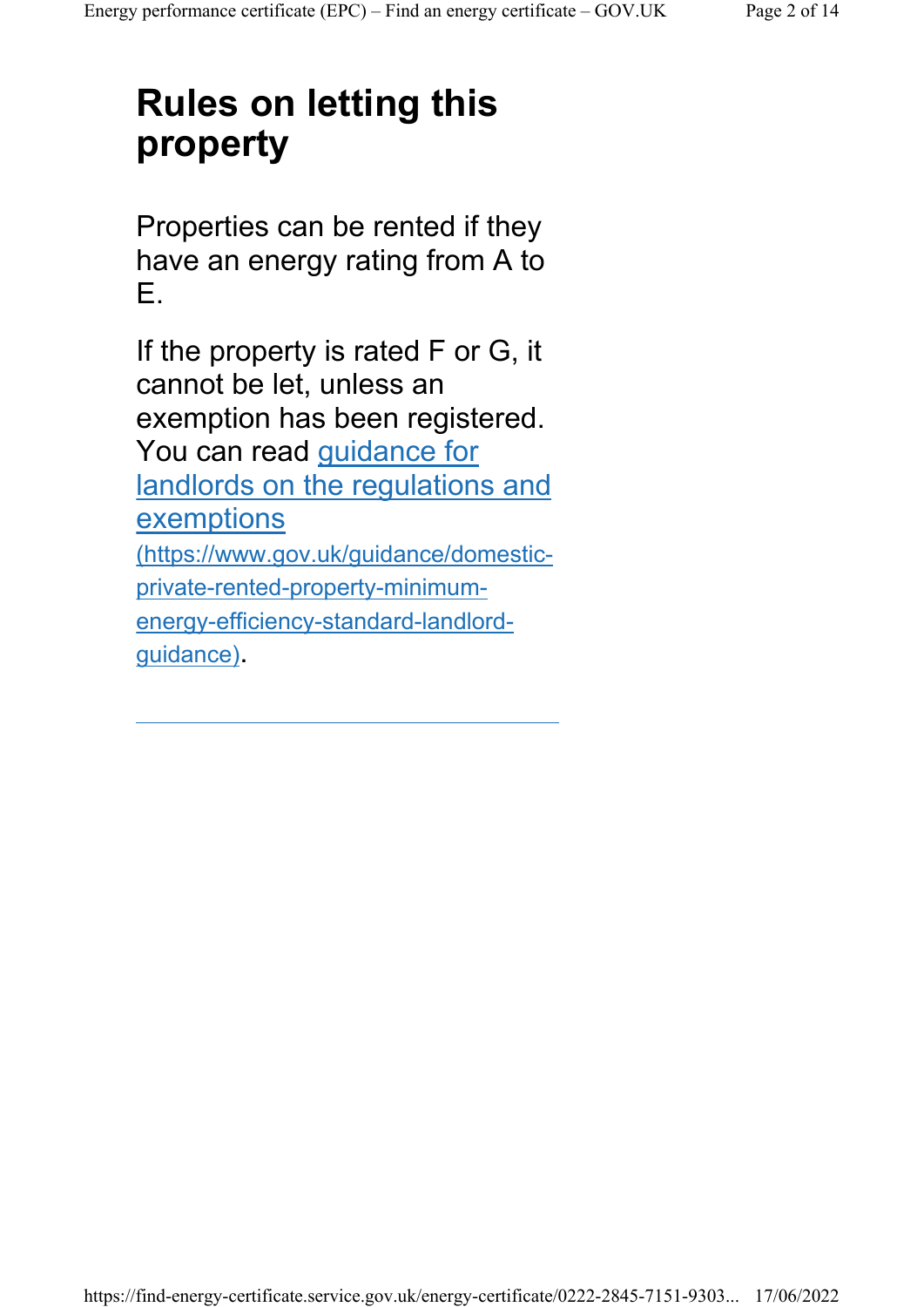## Rules on letting this property

Properties can be rented if they have an energy rating from A to E.

If the property is rated F or G, it cannot be let, unless an exemption has been registered. You can read guidance for landlords on the regulations and **exemptions** (https://www.gov.uk/guidance/domesticprivate-rented-property-minimumenergy-efficiency-standard-landlordguidance).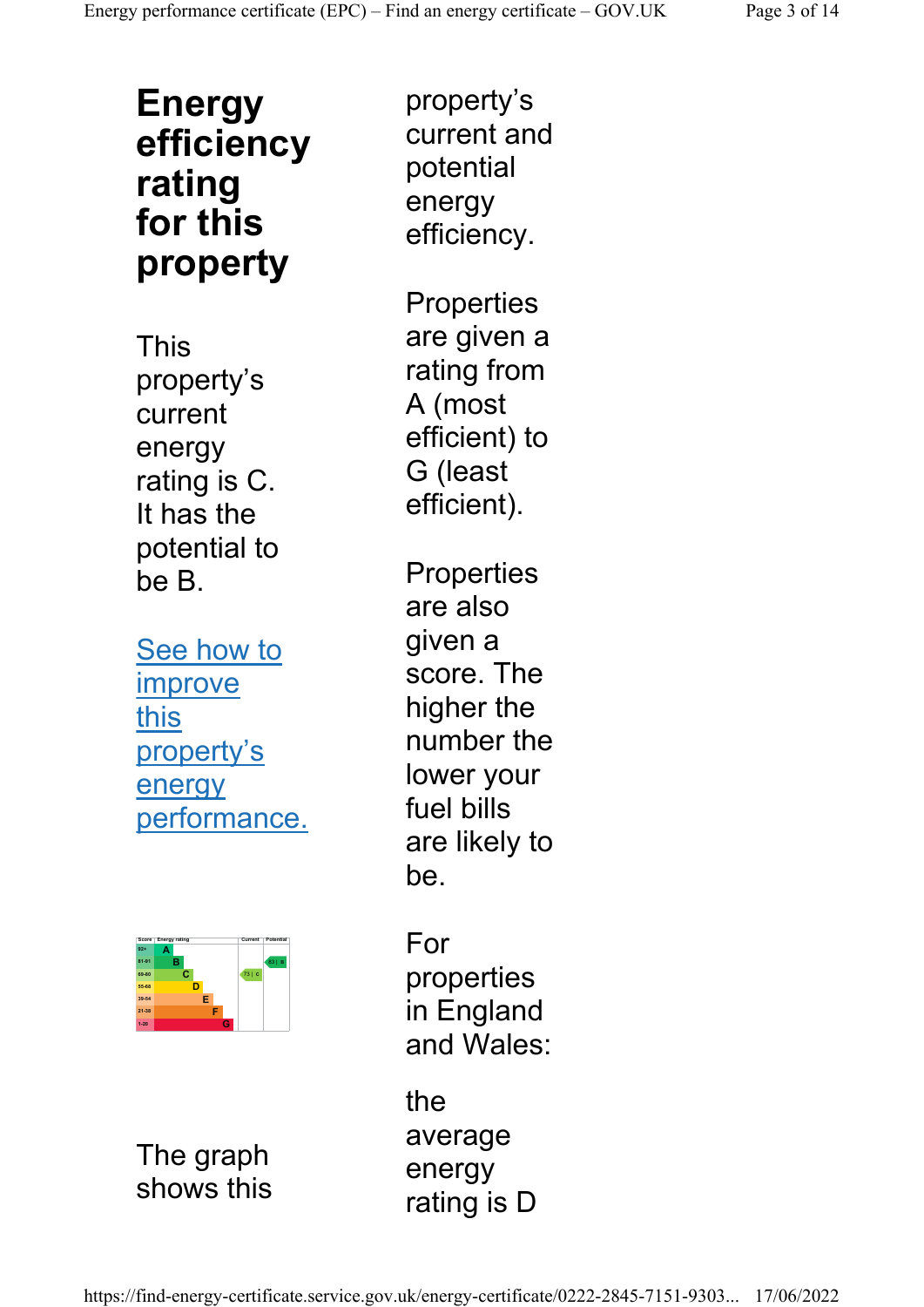#### Energy efficiency rating for this property

This property's current energy rating is C. It has the potential to be B.

See how to improve this property's energy performance.



The graph shows this

property's current and potential energy efficiency.

**Properties** are given a rating from A (most efficient) to G (least efficient).

**Properties** are also given a score. The higher the number the lower your fuel bills are likely to be.

For properties in England and Wales:

the average energy rating is D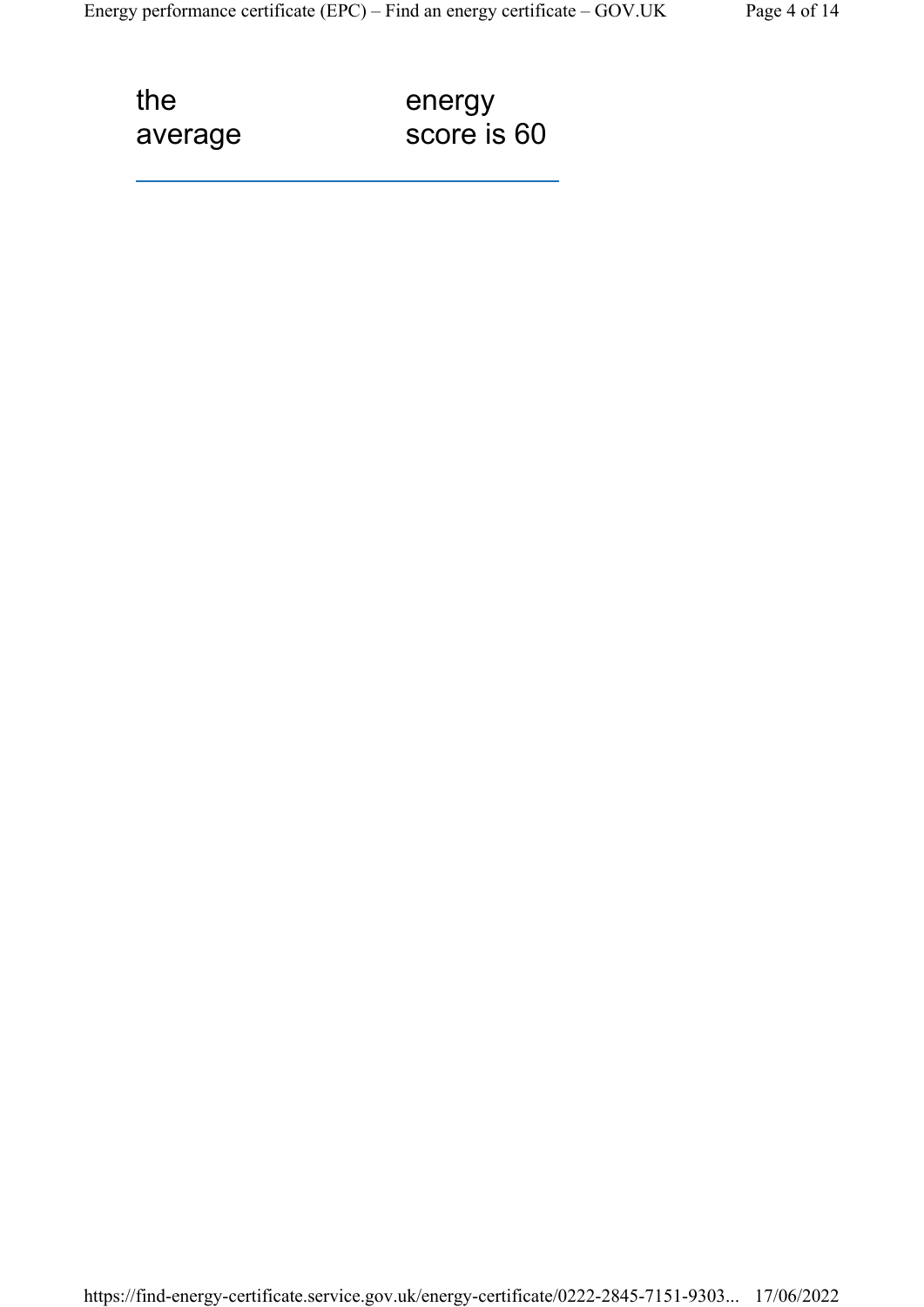the average energy score is 60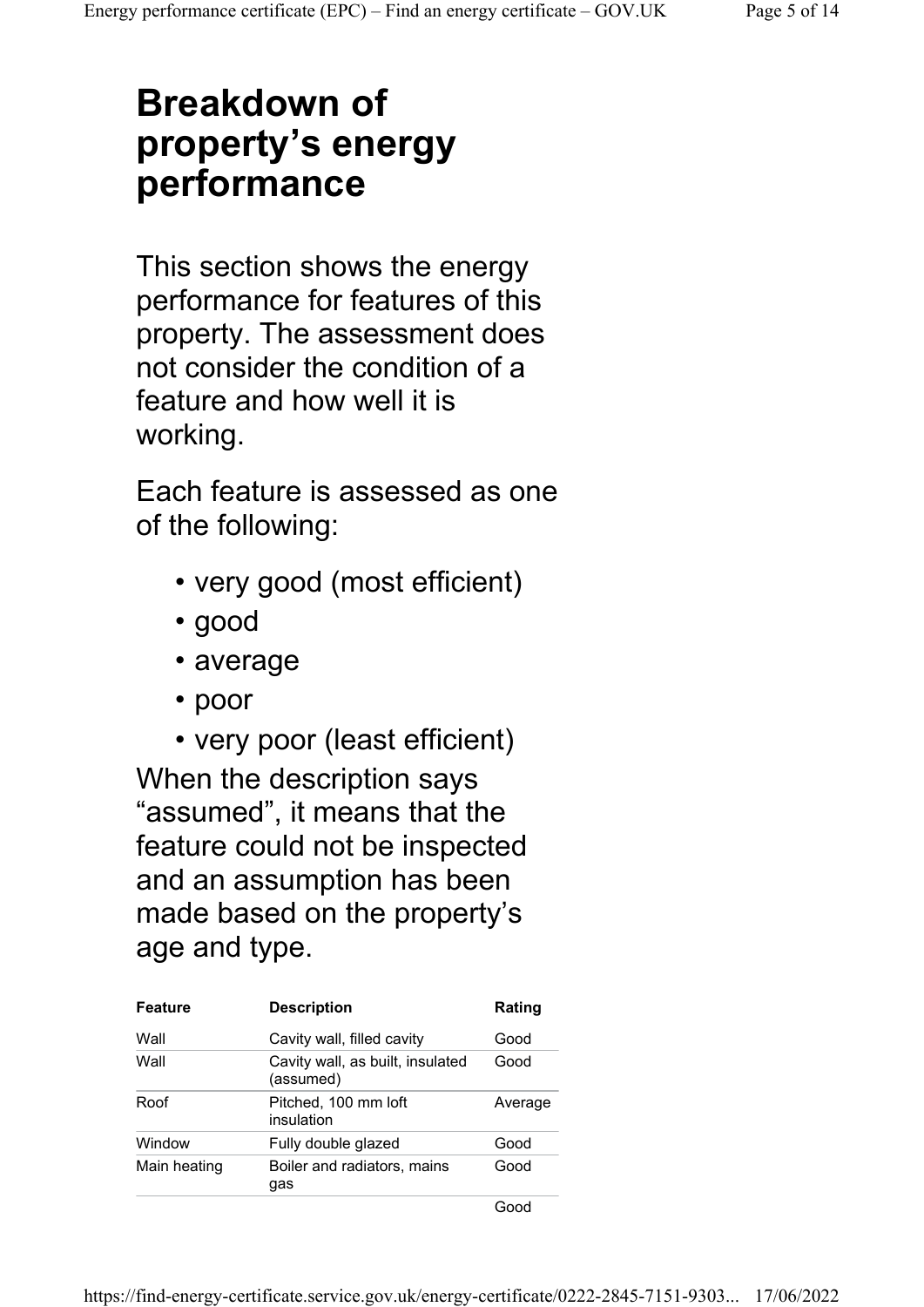### Breakdown of property's energy performance

This section shows the energy performance for features of this property. The assessment does not consider the condition of a feature and how well it is working.

Each feature is assessed as one of the following:

- very good (most efficient)
- good
- average
- poor
- very poor (least efficient)

When the description says "assumed", it means that the feature could not be inspected and an assumption has been made based on the property's age and type.

| <b>Feature</b> | <b>Description</b>                            | Rating  |
|----------------|-----------------------------------------------|---------|
| Wall           | Cavity wall, filled cavity                    | Good    |
| Wall           | Cavity wall, as built, insulated<br>(assumed) | Good    |
| Roof           | Pitched, 100 mm loft<br>insulation            | Average |
| Window         | Fully double glazed                           | Good    |
| Main heating   | Boiler and radiators, mains<br>gas            | Good    |
|                |                                               |         |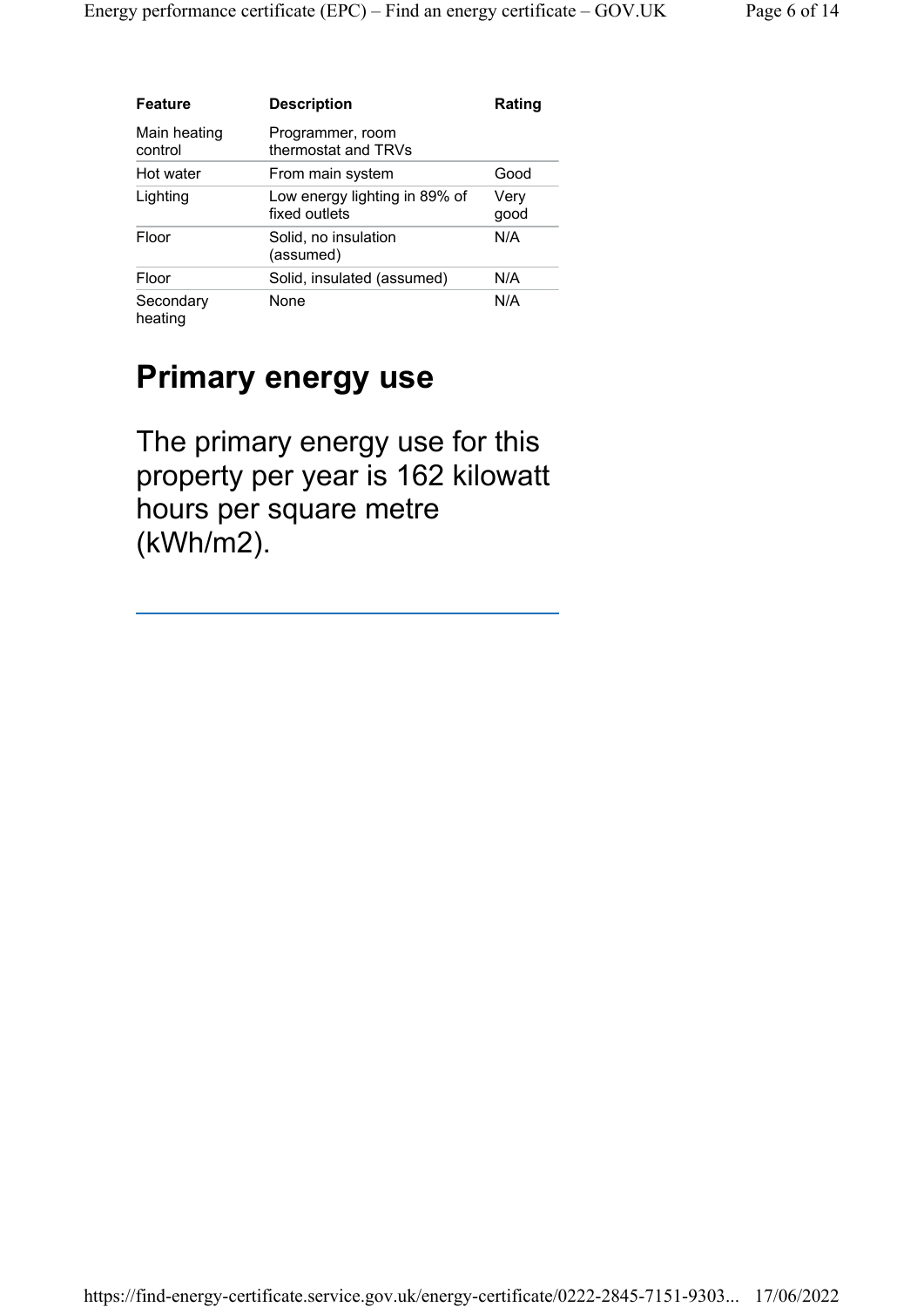| <b>Feature</b>          | <b>Description</b>                             | Rating       |
|-------------------------|------------------------------------------------|--------------|
| Main heating<br>control | Programmer, room<br>thermostat and TRVs        |              |
| Hot water               | From main system                               | Good         |
| Lighting                | Low energy lighting in 89% of<br>fixed outlets | Very<br>good |
| Floor                   | Solid, no insulation<br>(assumed)              | N/A          |
| Floor                   | Solid, insulated (assumed)                     | N/A          |
| Secondary<br>heating    | None                                           | N/A          |

#### Primary energy use

The primary energy use for this property per year is 162 kilowatt hours per square metre (kWh/m2).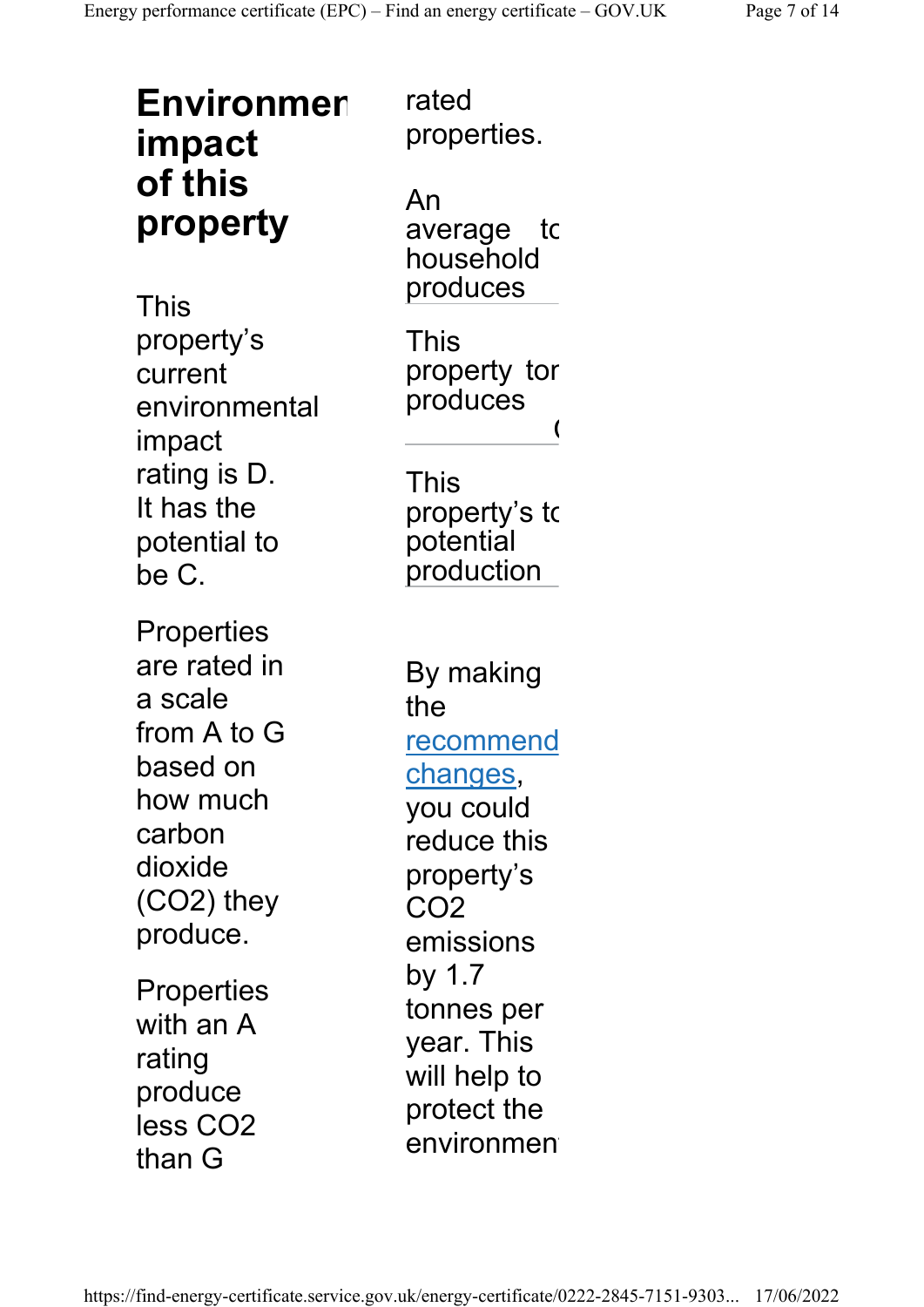| <b>Environmer</b><br>impact                                                                                                 | rated<br>properties.                                                                                    |
|-----------------------------------------------------------------------------------------------------------------------------|---------------------------------------------------------------------------------------------------------|
| of this<br>property<br>This                                                                                                 | An<br>average to<br>household<br>produces                                                               |
| property's<br>current<br>environmental<br>impact<br>rating is D.<br>It has the<br>potential to<br>be C.                     | This<br>property tor<br>produces<br>This<br>property's to<br>potential<br>production                    |
| Properties<br>are rated in<br>a scale<br>from A to G<br>based on<br>how much<br>carbon<br>dioxide<br>(CO2) they<br>produce. | By making<br>the<br>recommend<br>changes,<br>you could<br>reduce this<br>property's<br>CO2<br>emissions |
| Properties<br>with an A<br>rating<br>produce<br>less CO2<br>than G                                                          | by 1.7<br>tonnes per<br>year. This<br>will help to<br>protect the<br>environmen                         |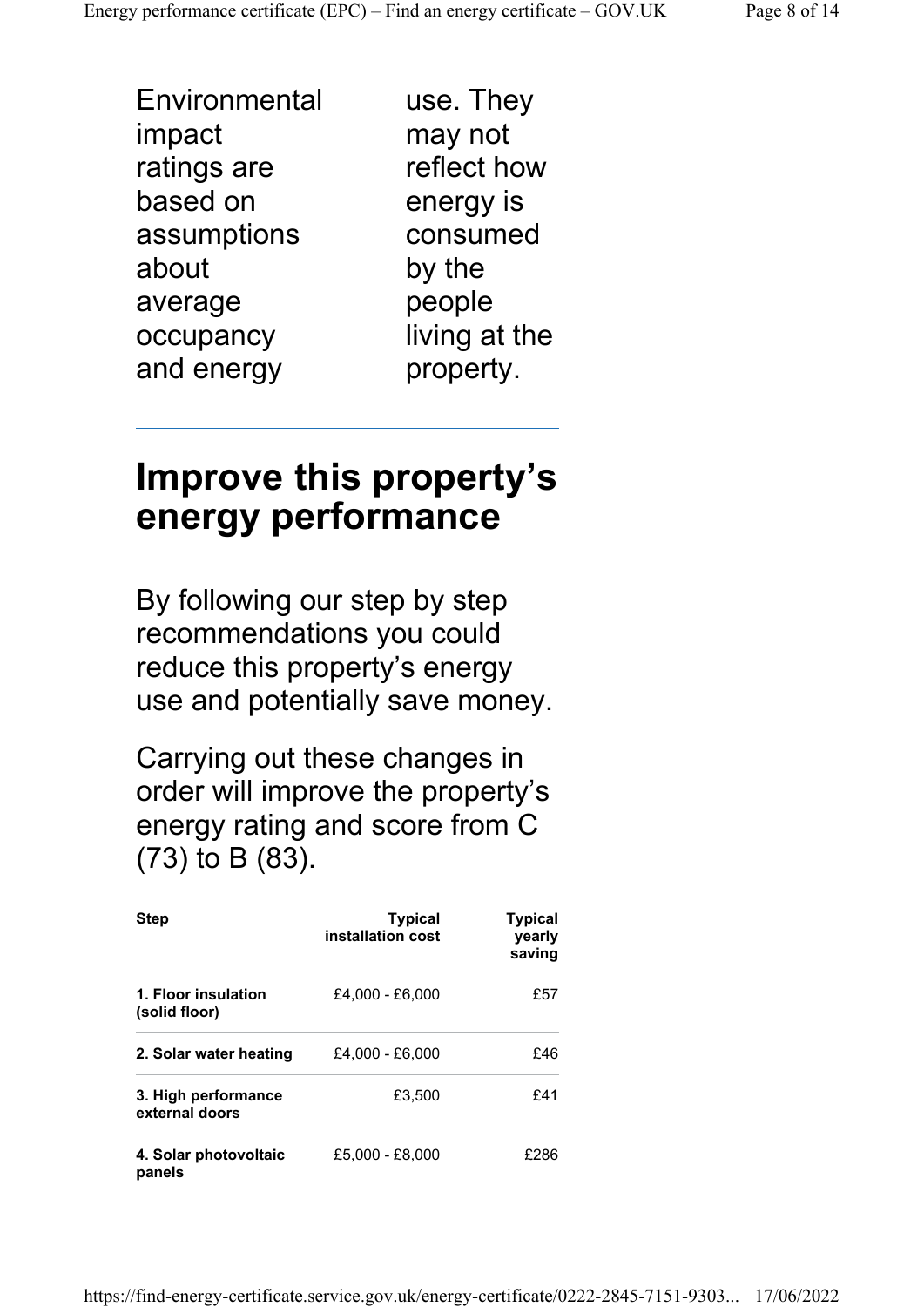**Environmental** impact ratings are based on assumptions about average occupancy and energy

use. They may not reflect how energy is consumed by the people living at the property.

#### Improve this property's energy performance

By following our step by step recommendations you could reduce this property's energy use and potentially save money.

Carrying out these changes in order will improve the property's energy rating and score from C (73) to B (83).

| <b>Step</b>                           | <b>Typical</b><br>installation cost | <b>Typical</b><br>yearly<br>saving |
|---------------------------------------|-------------------------------------|------------------------------------|
| 1. Floor insulation<br>(solid floor)  | £4.000 - £6.000                     | £57                                |
| 2. Solar water heating                | £4.000 - £6.000                     | £46                                |
| 3. High performance<br>external doors | £3,500                              | £41                                |
| 4. Solar photovoltaic<br>panels       | £5,000 - £8,000                     | £286                               |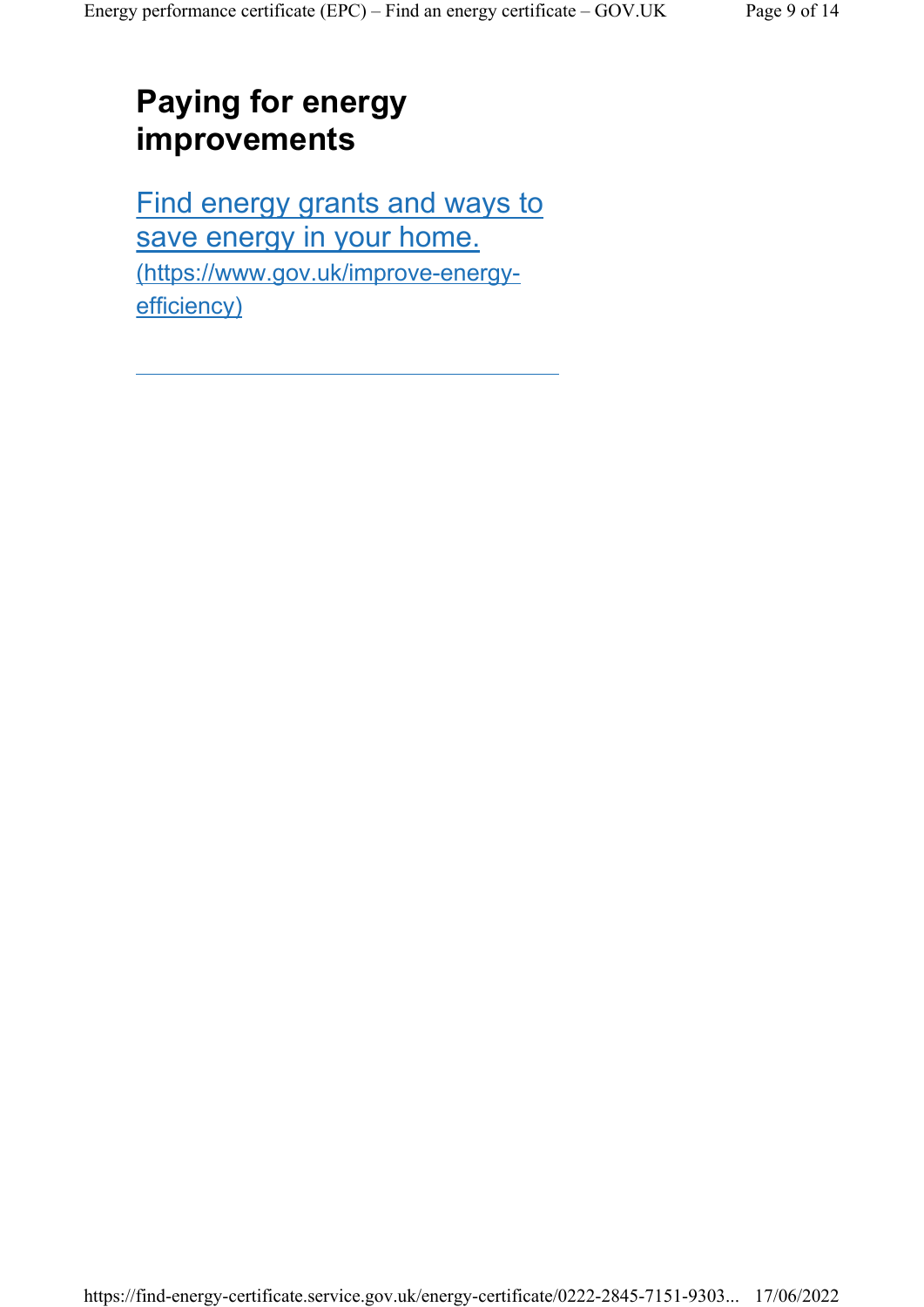#### Paying for energy improvements

Find energy grants and ways to save energy in your home. (https://www.gov.uk/improve-energyefficiency)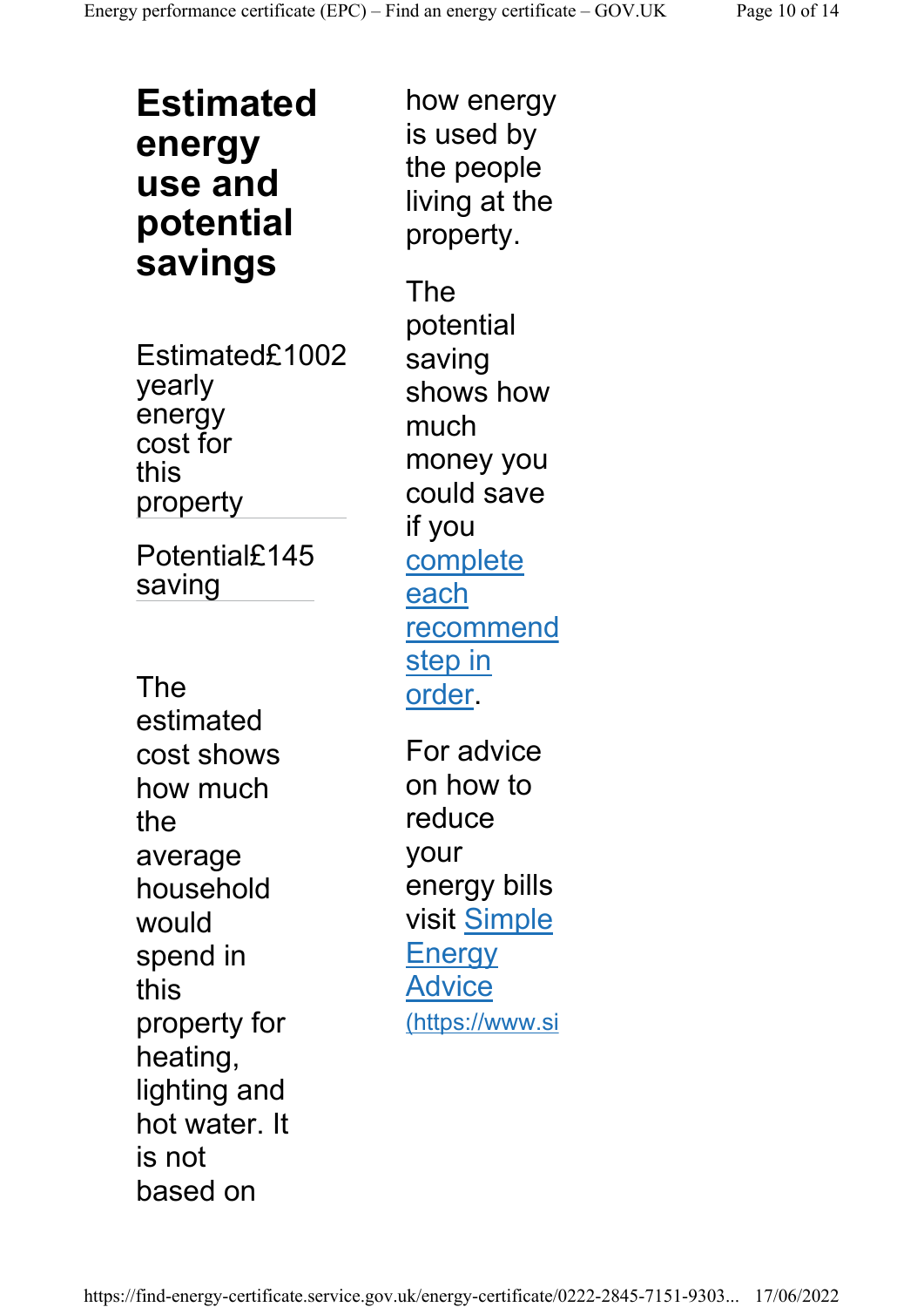Estimated energy use and potential savings

Estimated£1002 yearly energy cost for this property

Potential£145 saving

The estimated cost shows how much the average household would spend in this property for heating, lighting and hot water. It is not based on

how energy is used by the people living at the property. The potential saving shows how much money you could save if you complete each recommend step in order. For advice on how to reduce your energy bills visit Simple **Energy** 

Advice (https://www.si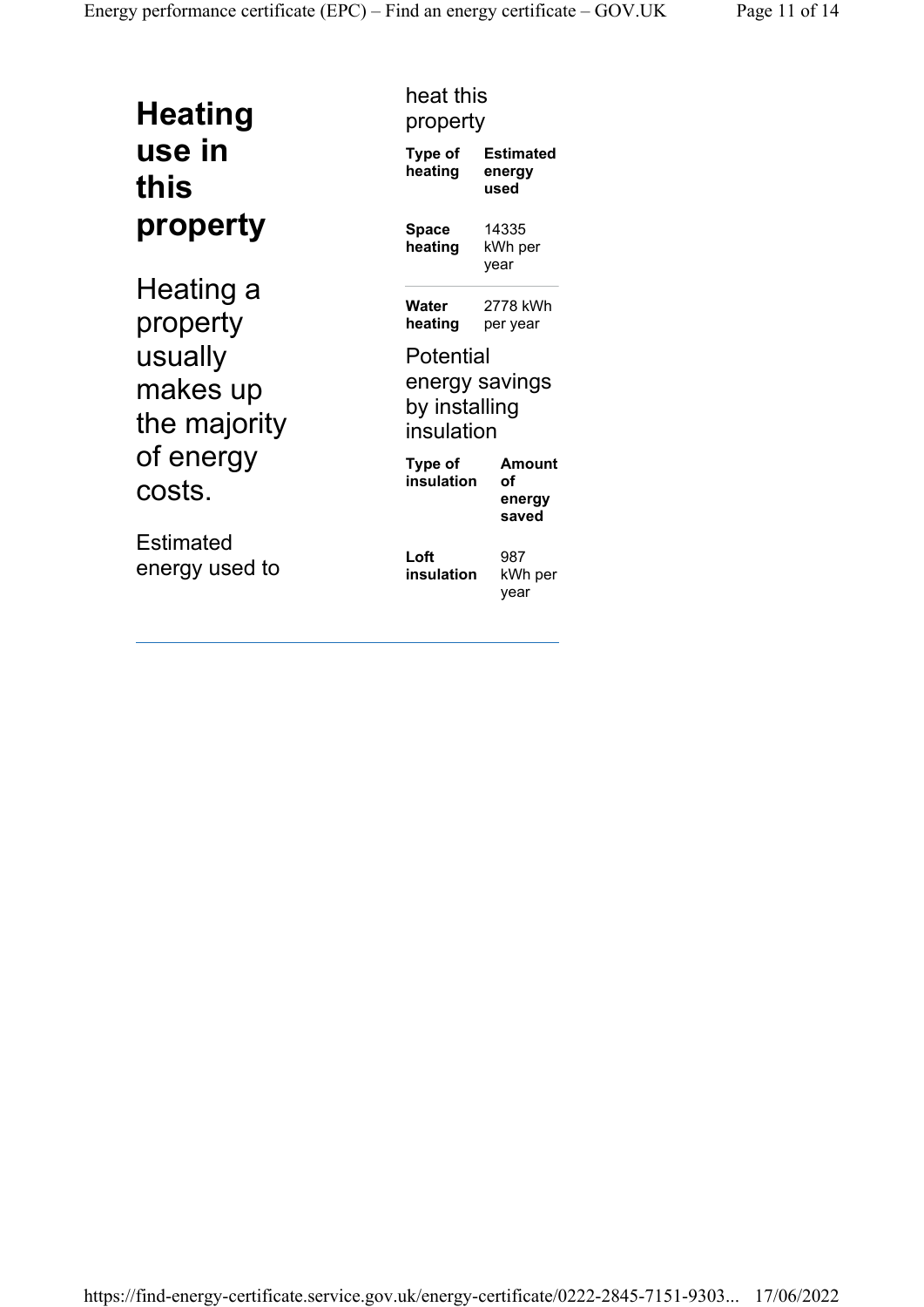| <b>Heating</b> |
|----------------|
| use in         |
| this           |
| property       |

Heating a property usually makes up the majority of energy costs.

**Estimated** energy used to

#### heat this property

| Type of<br>heating                       | Estimated<br>energy<br>used     |
|------------------------------------------|---------------------------------|
| Space<br>heating                         | 14335<br>kWh per<br>year        |
| Water<br>heating                         | 2778 kWh<br>per year            |
| Potential<br>by installing<br>insulation | energy savings                  |
| Type of<br>insulation                    | Amount<br>οf<br>energy<br>saved |
| Loft                                     | 987                             |

insulation

kWh per year

https://find-energy-certificate.service.gov.uk/energy-certificate/0222-2845-7151-9303... 17/06/2022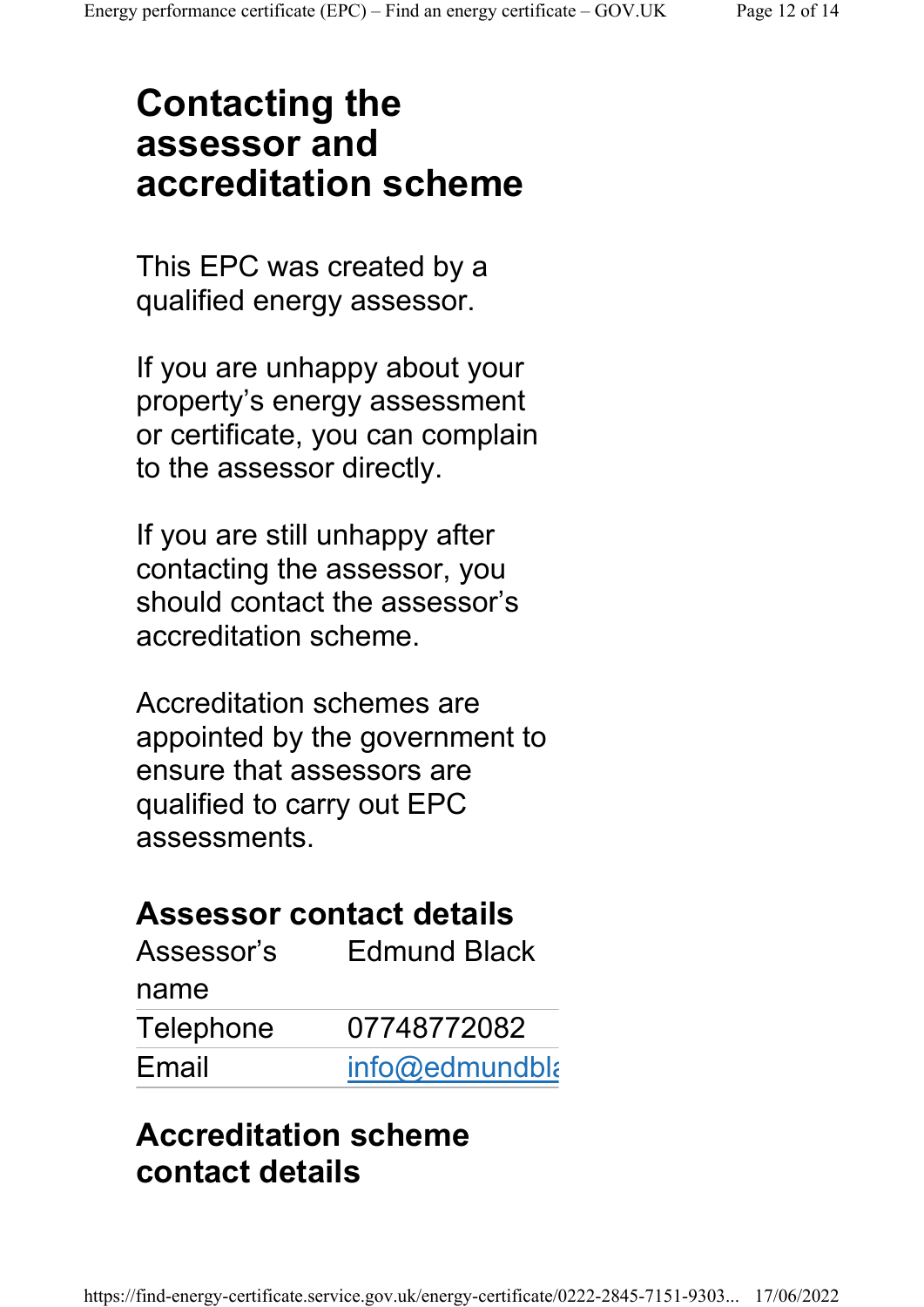#### Contacting the assessor and accreditation scheme

This EPC was created by a qualified energy assessor.

If you are unhappy about your property's energy assessment or certificate, you can complain to the assessor directly.

If you are still unhappy after contacting the assessor, you should contact the assessor's accreditation scheme.

Accreditation schemes are appointed by the government to ensure that assessors are qualified to carry out EPC assessments.

#### Assessor contact details

| Assessor's | <b>Edmund Black</b> |
|------------|---------------------|
| name       |                     |
| Telephone  | 07748772082         |
| Email      | info@edmundbla      |

#### Accreditation scheme contact details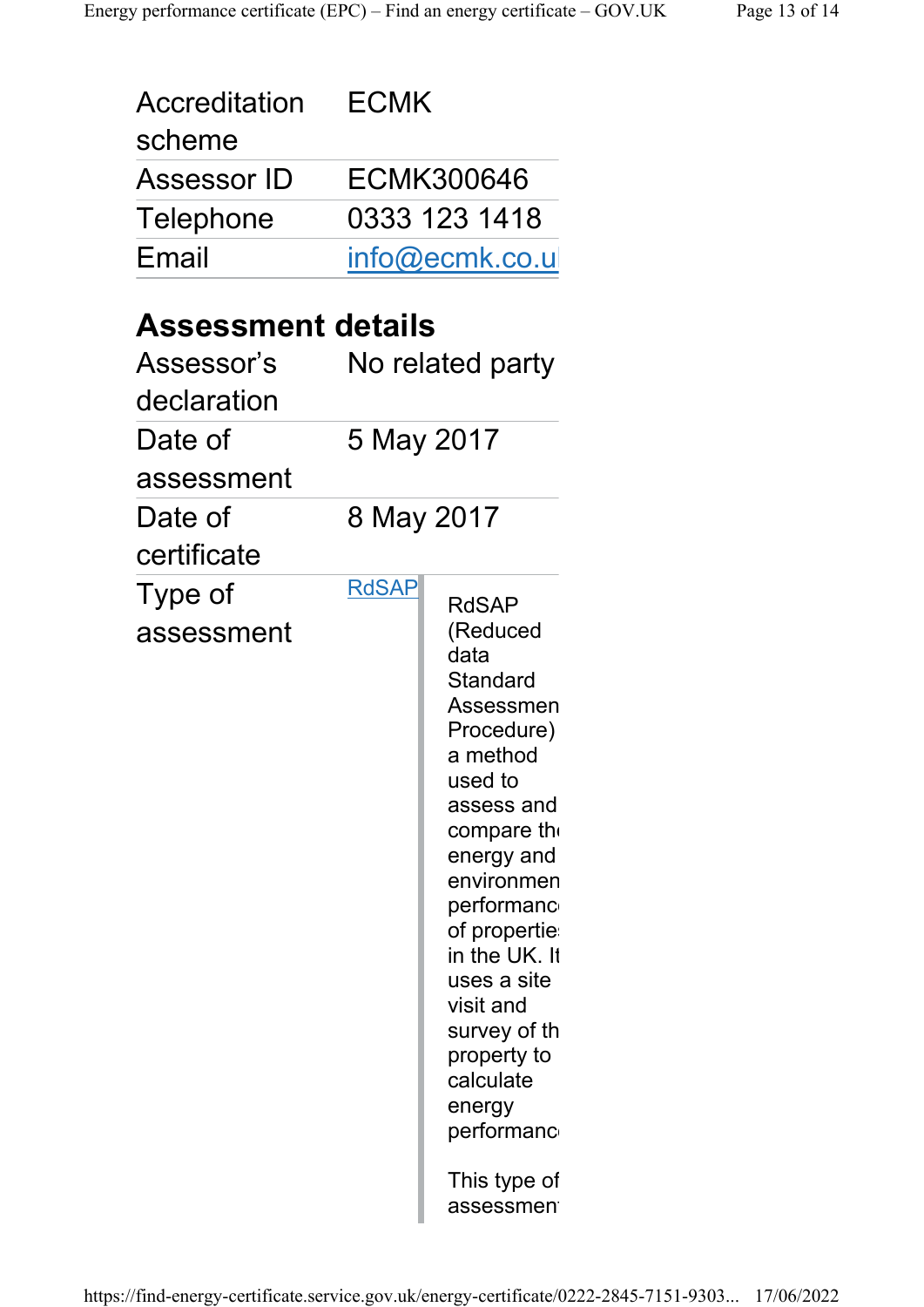| <b>ECMK</b>               |                                                                                                                                                                                                                                                                                                                        |
|---------------------------|------------------------------------------------------------------------------------------------------------------------------------------------------------------------------------------------------------------------------------------------------------------------------------------------------------------------|
|                           | <b>ECMK300646</b>                                                                                                                                                                                                                                                                                                      |
|                           | 0333 123 1418                                                                                                                                                                                                                                                                                                          |
|                           | info@ecmk.co.u                                                                                                                                                                                                                                                                                                         |
|                           |                                                                                                                                                                                                                                                                                                                        |
| <b>Assessment details</b> |                                                                                                                                                                                                                                                                                                                        |
|                           | No related party                                                                                                                                                                                                                                                                                                       |
|                           |                                                                                                                                                                                                                                                                                                                        |
| 5 May 2017                |                                                                                                                                                                                                                                                                                                                        |
|                           |                                                                                                                                                                                                                                                                                                                        |
|                           | 8 May 2017                                                                                                                                                                                                                                                                                                             |
|                           |                                                                                                                                                                                                                                                                                                                        |
| <b>RdSAP</b>              | <b>RdSAP</b><br>(Reduced<br>data<br>Standard<br>Assessmen<br>Procedure)<br>a method<br>used to<br>assess and<br>compare the<br>energy and<br>environmen<br>performanc<br>of propertie<br>in the UK. It<br>uses a site<br>visit and<br>survey of th<br>property to<br>calculate<br>energy<br>performanc<br>This type of |
|                           |                                                                                                                                                                                                                                                                                                                        |